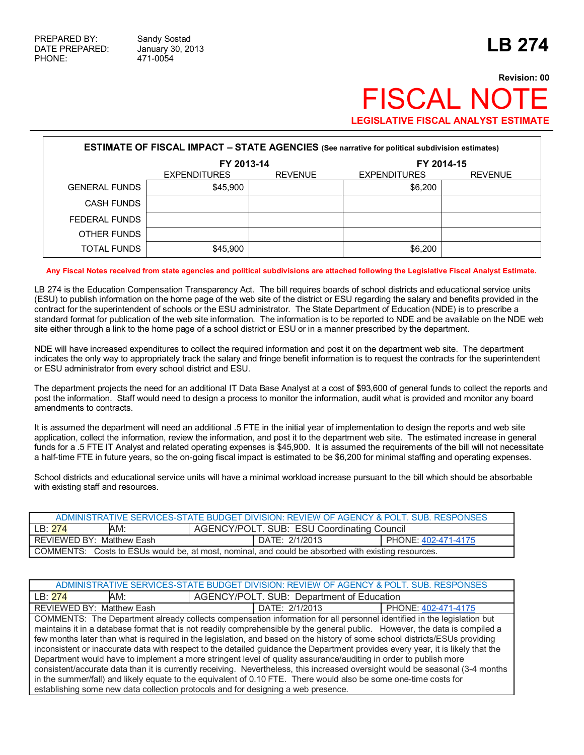# **Revision: 00 FISCAL NO LEGISLATIVE FISCAL ANALYST ESTIMATE**

| <b>ESTIMATE OF FISCAL IMPACT - STATE AGENCIES</b> (See narrative for political subdivision estimates) |                                       |  |                     |                |  |  |
|-------------------------------------------------------------------------------------------------------|---------------------------------------|--|---------------------|----------------|--|--|
|                                                                                                       | FY 2013-14                            |  | FY 2014-15          |                |  |  |
|                                                                                                       | <b>EXPENDITURES</b><br><b>REVENUE</b> |  | <b>EXPENDITURES</b> | <b>REVENUE</b> |  |  |
| <b>GENERAL FUNDS</b>                                                                                  | \$45,900                              |  | \$6,200             |                |  |  |
| <b>CASH FUNDS</b>                                                                                     |                                       |  |                     |                |  |  |
| FEDERAL FUNDS                                                                                         |                                       |  |                     |                |  |  |
| OTHER FUNDS                                                                                           |                                       |  |                     |                |  |  |
| <b>TOTAL FUNDS</b>                                                                                    | \$45,900                              |  | \$6,200             |                |  |  |

#### **Any Fiscal Notes received from state agencies and political subdivisions are attached following the Legislative Fiscal Analyst Estimate.**

LB 274 is the Education Compensation Transparency Act. The bill requires boards of school districts and educational service units (ESU) to publish information on the home page of the web site of the district or ESU regarding the salary and benefits provided in the contract for the superintendent of schools or the ESU administrator. The State Department of Education (NDE) is to prescribe a standard format for publication of the web site information. The information is to be reported to NDE and be available on the NDE web site either through a link to the home page of a school district or ESU or in a manner prescribed by the department.

NDE will have increased expenditures to collect the required information and post it on the department web site. The department indicates the only way to appropriately track the salary and fringe benefit information is to request the contracts for the superintendent or ESU administrator from every school district and ESU.

The department projects the need for an additional IT Data Base Analyst at a cost of \$93,600 of general funds to collect the reports and post the information. Staff would need to design a process to monitor the information, audit what is provided and monitor any board amendments to contracts.

It is assumed the department will need an additional .5 FTE in the initial year of implementation to design the reports and web site application, collect the information, review the information, and post it to the department web site. The estimated increase in general funds for a .5 FTE IT Analyst and related operating expenses is \$45,900. It is assumed the requirements of the bill will not necessitate a half-time FTE in future years, so the on-going fiscal impact is estimated to be \$6,200 for minimal staffing and operating expenses.

School districts and educational service units will have a minimal workload increase pursuant to the bill which should be absorbable with existing staff and resources.

|                                                                                                    | ADMINISTRATIVE SERVICES-STATE BUDGET DIVISION: REVIEW OF AGENCY & POLT. SUB. RESPONSES |                     |  |  |  |
|----------------------------------------------------------------------------------------------------|----------------------------------------------------------------------------------------|---------------------|--|--|--|
| AM:<br>LB: 274                                                                                     | AGENCY/POLT. SUB: ESU Coordinating Council                                             |                     |  |  |  |
| REVIEWED BY: Matthew Eash                                                                          | DATE: 2/1/2013                                                                         | PHONE: 402-471-4175 |  |  |  |
| COMMENTS: Costs to ESUs would be, at most, nominal, and could be absorbed with existing resources. |                                                                                        |                     |  |  |  |

| ADMINISTRATIVE SERVICES-STATE BUDGET DIVISION: REVIEW OF AGENCY & POLT. SUB. RESPONSES |                                                                                                                                                                                                                                                                                                                                                                                                                                                                                                                                                                                                                                                                                                                                                                                                                                                                                                                                                                                       |                     |  |  |  |
|----------------------------------------------------------------------------------------|---------------------------------------------------------------------------------------------------------------------------------------------------------------------------------------------------------------------------------------------------------------------------------------------------------------------------------------------------------------------------------------------------------------------------------------------------------------------------------------------------------------------------------------------------------------------------------------------------------------------------------------------------------------------------------------------------------------------------------------------------------------------------------------------------------------------------------------------------------------------------------------------------------------------------------------------------------------------------------------|---------------------|--|--|--|
| AM:<br>LB:274                                                                          | AGENCY/POLT. SUB: Department of Education                                                                                                                                                                                                                                                                                                                                                                                                                                                                                                                                                                                                                                                                                                                                                                                                                                                                                                                                             |                     |  |  |  |
| <b>REVIEWED BY: Matthew Eash</b>                                                       | DATE: 2/1/2013                                                                                                                                                                                                                                                                                                                                                                                                                                                                                                                                                                                                                                                                                                                                                                                                                                                                                                                                                                        | PHONE: 402-471-4175 |  |  |  |
|                                                                                        | COMMENTS: The Department already collects compensation information for all personnel identified in the legislation but<br>maintains it in a database format that is not readily comprehensible by the general public. However, the data is compiled a<br>few months later than what is required in the legislation, and based on the history of some school districts/ESUs providing<br>inconsistent or inaccurate data with respect to the detailed guidance the Department provides every year, it is likely that the<br>Department would have to implement a more stringent level of quality assurance/auditing in order to publish more<br>consistent/accurate data than it is currently receiving. Nevertheless, this increased oversight would be seasonal (3-4 months<br>in the summer/fall) and likely equate to the equivalent of 0.10 FTE. There would also be some one-time costs for<br>establishing some new data collection protocols and for designing a web presence. |                     |  |  |  |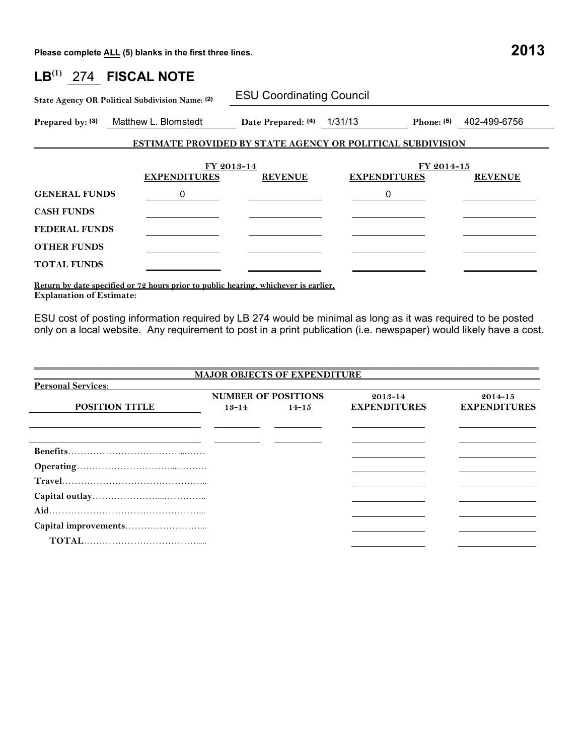**Please complete ALL (5) blanks in the first three lines. 2013**

| $\mathsf{LB}^{(1)}$  | 274 FISCAL NOTE                                                                                                                                                                                                                                                                                  |                                 |                     |              |                |
|----------------------|--------------------------------------------------------------------------------------------------------------------------------------------------------------------------------------------------------------------------------------------------------------------------------------------------|---------------------------------|---------------------|--------------|----------------|
|                      | State Agency OR Political Subdivision Name: (2)                                                                                                                                                                                                                                                  | <b>ESU Coordinating Council</b> |                     |              |                |
|                      | Prepared by: (3) Matthew L. Blomstedt Date Prepared: (4) 1/31/13                                                                                                                                                                                                                                 |                                 |                     | Phone: $(5)$ | 402-499-6756   |
|                      | <b>ESTIMATE PROVIDED BY STATE AGENCY OR POLITICAL SUBDIVISION</b>                                                                                                                                                                                                                                |                                 |                     |              |                |
|                      | <b>EXPENDITURES</b>                                                                                                                                                                                                                                                                              | FY 2013-14<br><b>REVENUE</b>    | <b>EXPENDITURES</b> | FY 2014-15   | <b>REVENUE</b> |
| <b>GENERAL FUNDS</b> | 0                                                                                                                                                                                                                                                                                                |                                 | 0                   |              |                |
| <b>CASH FUNDS</b>    |                                                                                                                                                                                                                                                                                                  |                                 |                     |              |                |
| <b>FEDERAL FUNDS</b> |                                                                                                                                                                                                                                                                                                  |                                 |                     |              |                |
| <b>OTHER FUNDS</b>   |                                                                                                                                                                                                                                                                                                  |                                 |                     |              |                |
| <b>TOTAL FUNDS</b>   |                                                                                                                                                                                                                                                                                                  |                                 |                     |              |                |
|                      | $\mathbf{r}$ and $\mathbf{r}$ and $\mathbf{r}$ and $\mathbf{r}$ and $\mathbf{r}$ and $\mathbf{r}$ and $\mathbf{r}$ and $\mathbf{r}$ and $\mathbf{r}$ and $\mathbf{r}$ and $\mathbf{r}$ and $\mathbf{r}$ and $\mathbf{r}$ and $\mathbf{r}$ and $\mathbf{r}$ and $\mathbf{r}$ and $\mathbf{r}$ and |                                 |                     |              |                |

**Return by date specified or 72 hours prior to public hearing, whichever is earlier. Explanation of Estimate:** 

ESU cost of posting information required by LB 274 would be minimal as long as it was required to be posted only on a local website. Any requirement to post in a print publication (i.e. newspaper) would likely have a cost.

|                           |           | <b>MAJOR OBJECTS OF EXPENDITURE</b>     |                                    |                                    |
|---------------------------|-----------|-----------------------------------------|------------------------------------|------------------------------------|
| <b>Personal Services:</b> |           |                                         |                                    |                                    |
| <b>POSITION TITLE</b>     | $13 - 14$ | <b>NUMBER OF POSITIONS</b><br>$14 - 15$ | $2013 - 14$<br><b>EXPENDITURES</b> | $2014 - 15$<br><b>EXPENDITURES</b> |
|                           |           |                                         |                                    |                                    |
|                           |           |                                         |                                    |                                    |
|                           |           |                                         |                                    |                                    |
|                           |           |                                         |                                    |                                    |
|                           |           |                                         |                                    |                                    |
|                           |           |                                         |                                    |                                    |
|                           |           |                                         |                                    |                                    |
|                           |           |                                         |                                    |                                    |